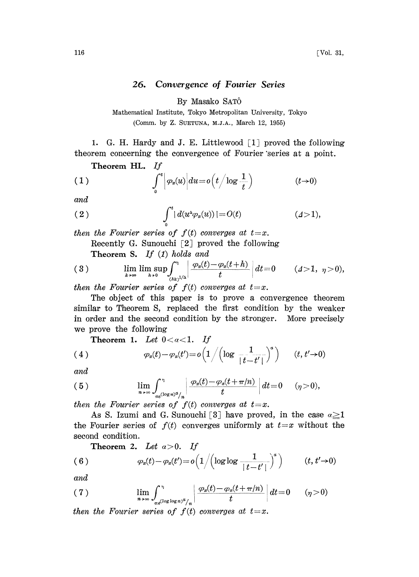## 26. Convergence of Fourier Series

By Masako SAT

Mathematical Institute, Tokyo Metropolitan University, Tokyo (Comm. by Z. SUETUNA, M.J.A., March 12, 1955)

1. G. H. Hardy and J. E. Littlewood  $[1]$  proved the following theorem concerning the convergence of Fourier "series at a point.

Theorem HL. If

(1) 
$$
\int_0^t \left| \varphi_u(u) \right| du = o\left(t/\log \frac{1}{t}\right) \qquad (t\to 0)
$$

and

(2) 
$$
\int_0^t |d(u^{\Delta} \varphi_x(u))| = O(t) \qquad (d > 1),
$$

then the Fourier series of  $f(t)$  converges at  $t=x$ . Recently G. Sunouchi  $\lceil 2 \rceil$  proved the following Theorem S. If  $(1)$  holds and

$$
(3) \qquad \qquad \lim_{k\to\infty}\limsup_{h\to 0}\int_{(hk)^{1/\Delta}}^{\eta}\left|\frac{\varphi_x(t)-\varphi_x(t+h)}{t}\right|dt=0 \qquad (\varDelta>1,\ \ \eta>0),
$$

then the Fourier series of  $f(t)$  converges at  $t=x$ .

The object of this paper is to prove a eonvergenee theorem similar to Theorem S, replaced the first condition by the weaker in order and the seeond condition by the stronger. More preeisely we prove the following

Theorem 1. Let  $0 < a < 1$ . If

(4) 
$$
\varphi_x(t) - \varphi_x(t') = o\left(1/\left(\log \frac{1}{|t-t'|}\right)^x\right) \qquad (t, t' \to 0)
$$

and

(5) 
$$
\lim_{n\to\infty}\int_{\pi e^{(\log n)^{\alpha}/n}}^{\eta}\left|\frac{\varphi_x(t)-\varphi_x(t+\pi/n)}{t}\right|dt=0 \quad (\eta>0),
$$

then the Fourier series of  $f(t)$  converges at  $t=x$ .

second condition. As S. Izumi and G. Sunouchi [3] have proved, in the case  $\alpha \geq 1$ the Fourier series of  $f(t)$  converges uniformly at  $t=x$  without the

Theorem 2. Let  $a>0$ . If

(6) 
$$
\varphi_x(t) - \varphi_x(t') = o\left(1/(\log \log \frac{1}{|t-t'|})^a\right) \qquad (t, t' \to 0)
$$

and

(7) 
$$
\lim_{n \to \infty} \int_{\pi e^{(\log \log n)^{\alpha}}/n}^{\eta} \left| \frac{\varphi_x(t) - \varphi_x(t + \pi/n)}{t} \right| dt = 0 \qquad (\eta > 0)
$$

then the Fourier series of  $f(t)$  converges at  $t=x$ .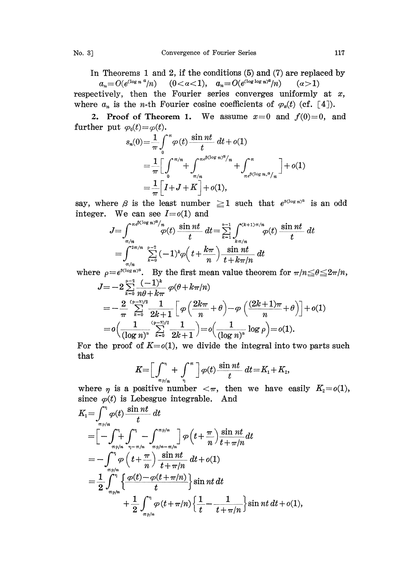In Theorems <sup>1</sup> and 2, if the conditions (5) and (7) are replaced by

 $a_n=O(e^{\log n a}/n)$   $(0<\alpha<1), a_n=O(e^{\log \log n a}/n)$   $(\alpha>1)$ respectively, then the Fourier series converges uniformly at  $x$ , where  $a_n$  is the *n*-th Fourier cosine coefficients of  $\varphi_n(t)$  (cf. [4]).

2. Proof of Theorem 1. We assume  $x=0$  and  $f(0)=0$ , and

further put 
$$
\varphi_0(t) = \varphi(t)
$$
.  
\n
$$
s_n(0) = \frac{1}{\pi} \int_0^{\pi} \varphi(t) \frac{\sin nt}{t} dt + o(1)
$$
\n
$$
= \frac{1}{\pi} \Big[ \int_0^{\pi/n} + \int_{\pi/n}^{\pi e^{\beta(\log n)^d/n}} + \int_{\pi e^{\beta(\log n)^d/n}}^{\pi} \Big] + o(1)
$$
\n
$$
= \frac{1}{\pi} \Big[ I + J + K \Big] + o(1),
$$

say, where  $\beta$  is the least number  $\geq 1$  such that  $e^{\beta(\log n)^{\alpha}}$  is an odd integer. We can see  $I=0(1)$  and

$$
J = \int_{\pi/n}^{\pi e^{\beta(\log n)^d}/n} \varphi(t) \frac{\sin nt}{t} dt = \sum_{k=1}^{n-1} \int_{\frac{k\pi/n}{k}}^{\frac{k(2k+1)\pi/n}{n}} \varphi(t) \frac{\sin nt}{t} dt
$$
  
= 
$$
\int_{\pi/n}^{2\pi/n} \sum_{k=0}^{n-2} (-1)^k \varphi\left(t + \frac{k\pi}{n}\right) \frac{\sin nt}{t + k\pi/n} dt
$$

where  $\rho=e^{\beta(\log n)^{\alpha}}$ . By the first mean value theorem for  $\pi/n\leq\theta\leq2\pi/n$ ,

$$
J = -2 \sum_{k=0}^{p-3} \frac{(-1)^k}{n\theta + k\pi} \varphi(\theta + k\pi/n)
$$
  
=  $-\frac{2}{\pi} \sum_{k=0}^{(p-3)/2} \frac{1}{2k+1} \left[ \varphi\left(\frac{2k\pi}{n} + \theta\right) - \varphi\left(\frac{(2k+1)\pi}{n} + \theta\right) \right] + o(1)$   
=  $o\left(\frac{1}{(\log n)^4} \sum_{k=0}^{(p-3)/2} \frac{1}{2k+1} \right) = o\left(\frac{1}{(\log n)^a} \log \rho\right) = o(1).$ 

For the proof of  $K = o(1)$ , we divide the integral into two parts such that

$$
K = \left[\int_{\pi P/n}^{\pi} + \int_{\eta}^{\pi}\right] \varphi(t) \frac{\sin nt}{t} dt = K_1 + K_2,
$$

where  $\eta$  is a positive number  $\langle \pi, \rangle$  then we have easily  $K_2=o(1)$ , since  $\varphi(t)$  is Lebesgue integrable. And

$$
K_{1} = \int_{\pi\wp/n}^{\pi} \varphi(t) \frac{\sin nt}{t} dt
$$
  
\n
$$
= \left[ -\int_{\pi\wp/n}^{\pi} \int_{\pi-\pi/n}^{\pi} \int_{\pi\wp/n-\pi/n}^{\pi\wp/n} \right] \varphi\left(t + \frac{\pi}{n}\right) \frac{\sin nt}{t + \pi/n} dt
$$
  
\n
$$
= -\int_{\pi\wp/n}^{\pi} \varphi\left(t + \frac{\pi}{n}\right) \frac{\sin nt}{t + \pi/n} dt + o(1)
$$
  
\n
$$
= \frac{1}{2} \int_{\pi\wp/n}^{\pi} \left\{ \frac{\varphi(t) - \varphi(t + \pi/n)}{t} \right\} \sin nt dt + \frac{1}{2} \int_{\pi\wp/n}^{\pi} \varphi(t + \pi/n) \left\{ \frac{1}{t} - \frac{1}{t + \pi/n} \right\} \sin nt dt + o(1),
$$